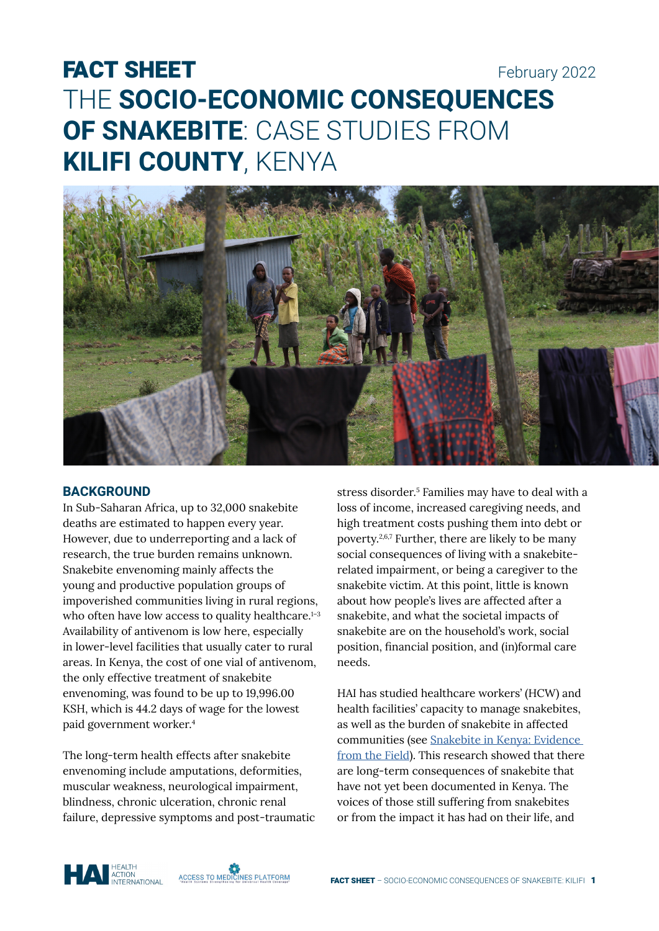# FACT SHEET February 2022 THE **SOCIO-ECONOMIC CONSEQUENCES OF SNAKEBITE**: CASE STUDIES FROM **KILIFI COUNTY**, KENYA



### **BACKGROUND**

In Sub-Saharan Africa, up to 32,000 snakebite deaths are estimated to happen every year. However, due to underreporting and a lack of research, the true burden remains unknown. Snakebite envenoming mainly affects the young and productive population groups of impoverished communities living in rural regions, who often have low access to quality healthcare.<sup>1-3</sup> Availability of antivenom is low here, especially in lower-level facilities that usually cater to rural areas. In Kenya, the cost of one vial of antivenom, the only effective treatment of snakebite envenoming, was found to be up to 19,996.00 KSH, which is 44.2 days of wage for the lowest paid government worker.<sup>4</sup>

The long-term health effects after snakebite envenoming include amputations, deformities, muscular weakness, neurological impairment, blindness, chronic ulceration, chronic renal failure, depressive symptoms and post-traumatic

stress disorder.<sup>5</sup> Families may have to deal with a loss of income, increased caregiving needs, and high treatment costs pushing them into debt or poverty.2,6,7 Further, there are likely to be many social consequences of living with a snakebiterelated impairment, or being a caregiver to the snakebite victim. At this point, little is known about how people's lives are affected after a snakebite, and what the societal impacts of snakebite are on the household's work, social position, financial position, and (in)formal care needs.

HAI has studied healthcare workers' (HCW) and health facilities' capacity to manage snakebites, as well as the burden of snakebite in affected communities (see [Snakebite in Kenya: Evidence](https://haiweb.org/wp-content/uploads/2021/12/Report-Snakebite-in-Kenya-2019_2020.pdf)  [from the Field](https://haiweb.org/wp-content/uploads/2021/12/Report-Snakebite-in-Kenya-2019_2020.pdf)). This research showed that there are long-term consequences of snakebite that have not yet been documented in Kenya. The voices of those still suffering from snakebites or from the impact it has had on their life, and



ACCESS TO MEDICINES PLATFORM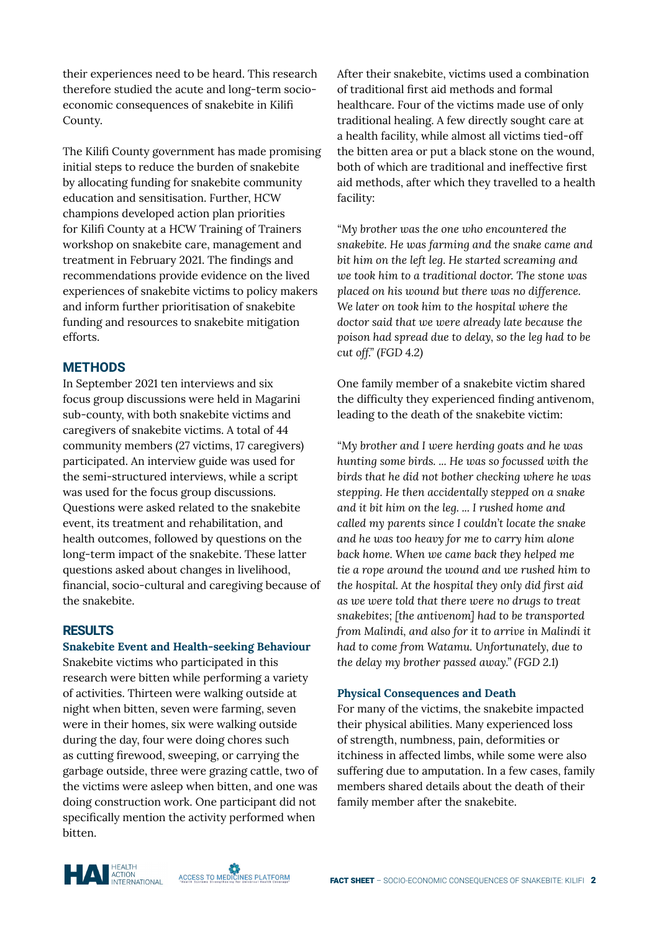their experiences need to be heard. This research therefore studied the acute and long-term socioeconomic consequences of snakebite in Kilifi County.

The Kilifi County government has made promising initial steps to reduce the burden of snakebite by allocating funding for snakebite community education and sensitisation. Further, HCW champions developed action plan priorities for Kilifi County at a HCW Training of Trainers workshop on snakebite care, management and treatment in February 2021. The findings and recommendations provide evidence on the lived experiences of snakebite victims to policy makers and inform further prioritisation of snakebite funding and resources to snakebite mitigation efforts.

## **METHODS**

In September 2021 ten interviews and six focus group discussions were held in Magarini sub-county, with both snakebite victims and caregivers of snakebite victims. A total of 44 community members (27 victims, 17 caregivers) participated. An interview guide was used for the semi-structured interviews, while a script was used for the focus group discussions. Questions were asked related to the snakebite event, its treatment and rehabilitation, and health outcomes, followed by questions on the long-term impact of the snakebite. These latter questions asked about changes in livelihood, financial, socio-cultural and caregiving because of the snakebite.

#### **RESULTS**

#### **Snakebite Event and Health-seeking Behaviour**

Snakebite victims who participated in this research were bitten while performing a variety of activities. Thirteen were walking outside at night when bitten, seven were farming, seven were in their homes, six were walking outside during the day, four were doing chores such as cutting firewood, sweeping, or carrying the garbage outside, three were grazing cattle, two of the victims were asleep when bitten, and one was doing construction work. One participant did not specifically mention the activity performed when bitten.

After their snakebite, victims used a combination of traditional first aid methods and formal healthcare. Four of the victims made use of only traditional healing. A few directly sought care at a health facility, while almost all victims tied-off the bitten area or put a black stone on the wound, both of which are traditional and ineffective first aid methods, after which they travelled to a health facility:

*"My brother was the one who encountered the snakebite. He was farming and the snake came and bit him on the left leg. He started screaming and we took him to a traditional doctor. The stone was placed on his wound but there was no difference. We later on took him to the hospital where the doctor said that we were already late because the poison had spread due to delay, so the leg had to be cut off." (FGD 4.2)*

One family member of a snakebite victim shared the difficulty they experienced finding antivenom, leading to the death of the snakebite victim:

*"My brother and I were herding goats and he was hunting some birds. ... He was so focussed with the birds that he did not bother checking where he was stepping. He then accidentally stepped on a snake and it bit him on the leg. ... I rushed home and called my parents since I couldn't locate the snake and he was too heavy for me to carry him alone back home. When we came back they helped me tie a rope around the wound and we rushed him to the hospital. At the hospital they only did first aid as we were told that there were no drugs to treat snakebites; [the antivenom] had to be transported from Malindi, and also for it to arrive in Malindi it had to come from Watamu. Unfortunately, due to the delay my brother passed away." (FGD 2.1)*

#### **Physical Consequences and Death**

For many of the victims, the snakebite impacted their physical abilities. Many experienced loss of strength, numbness, pain, deformities or itchiness in affected limbs, while some were also suffering due to amputation. In a few cases, family members shared details about the death of their family member after the snakebite.



ACCESS TO MEDICINES PLATFORM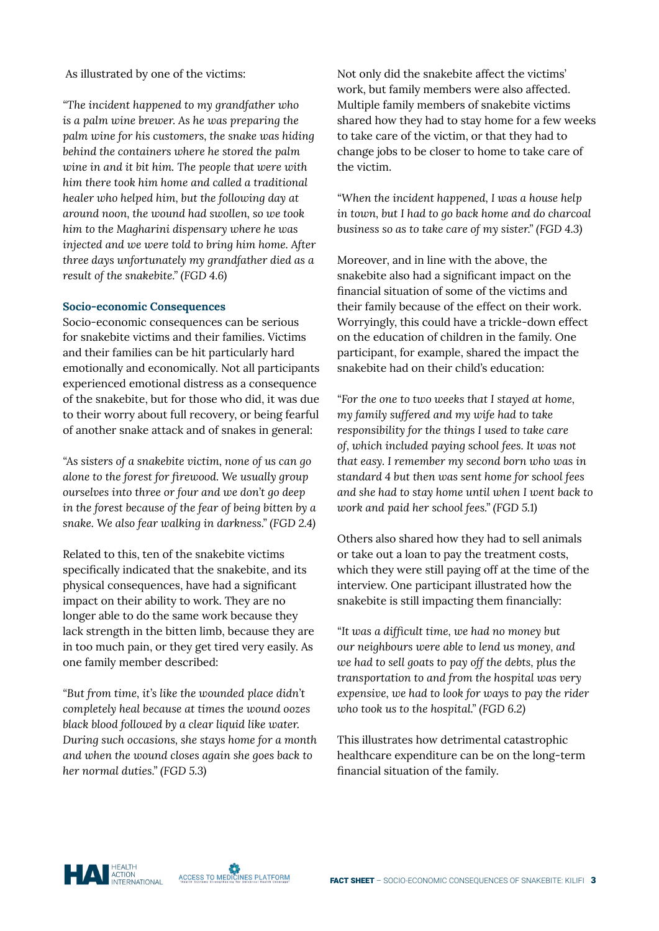As illustrated by one of the victims:

*"The incident happened to my grandfather who is a palm wine brewer. As he was preparing the palm wine for his customers, the snake was hiding behind the containers where he stored the palm wine in and it bit him. The people that were with him there took him home and called a traditional healer who helped him, but the following day at around noon, the wound had swollen, so we took him to the Magharini dispensary where he was injected and we were told to bring him home. After three days unfortunately my grandfather died as a result of the snakebite." (FGD 4.6)*

#### **Socio-economic Consequences**

Socio-economic consequences can be serious for snakebite victims and their families. Victims and their families can be hit particularly hard emotionally and economically. Not all participants experienced emotional distress as a consequence of the snakebite, but for those who did, it was due to their worry about full recovery, or being fearful of another snake attack and of snakes in general:

*"As sisters of a snakebite victim, none of us can go alone to the forest for firewood. We usually group ourselves into three or four and we don't go deep in the forest because of the fear of being bitten by a snake. We also fear walking in darkness." (FGD 2.4)*

Related to this, ten of the snakebite victims specifically indicated that the snakebite, and its physical consequences, have had a significant impact on their ability to work. They are no longer able to do the same work because they lack strength in the bitten limb, because they are in too much pain, or they get tired very easily. As one family member described:

*"But from time, it's like the wounded place didn't completely heal because at times the wound oozes black blood followed by a clear liquid like water. During such occasions, she stays home for a month and when the wound closes again she goes back to her normal duties." (FGD 5.3)*

Not only did the snakebite affect the victims' work, but family members were also affected. Multiple family members of snakebite victims shared how they had to stay home for a few weeks to take care of the victim, or that they had to change jobs to be closer to home to take care of the victim.

*"When the incident happened, I was a house help in town, but I had to go back home and do charcoal business so as to take care of my sister." (FGD 4.3)*

Moreover, and in line with the above, the snakebite also had a significant impact on the financial situation of some of the victims and their family because of the effect on their work. Worryingly, this could have a trickle-down effect on the education of children in the family. One participant, for example, shared the impact the snakebite had on their child's education:

*"For the one to two weeks that I stayed at home, my family suffered and my wife had to take responsibility for the things I used to take care of, which included paying school fees. It was not that easy. I remember my second born who was in standard 4 but then was sent home for school fees and she had to stay home until when I went back to work and paid her school fees." (FGD 5.1)* 

Others also shared how they had to sell animals or take out a loan to pay the treatment costs, which they were still paying off at the time of the interview. One participant illustrated how the snakebite is still impacting them financially:

*"It was a difficult time, we had no money but our neighbours were able to lend us money, and we had to sell goats to pay off the debts, plus the transportation to and from the hospital was very expensive, we had to look for ways to pay the rider who took us to the hospital." (FGD 6.2)*

This illustrates how detrimental catastrophic healthcare expenditure can be on the long-term financial situation of the family.

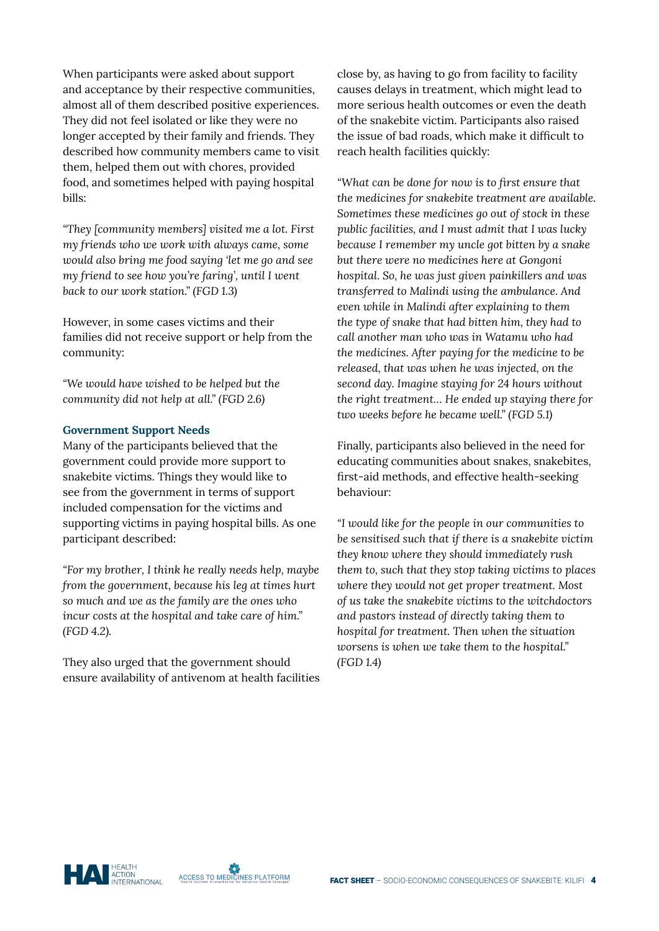When participants were asked about support and acceptance by their respective communities, almost all of them described positive experiences. They did not feel isolated or like they were no longer accepted by their family and friends. They described how community members came to visit them, helped them out with chores, provided food, and sometimes helped with paying hospital bills:

*"They [community members] visited me a lot. First my friends who we work with always came, some would also bring me food saying 'let me go and see my friend to see how you're faring', until I went back to our work station." (FGD 1.3)*

However, in some cases victims and their families did not receive support or help from the community:

*"We would have wished to be helped but the community did not help at all." (FGD 2.6)*

#### **Government Support Needs**

Many of the participants believed that the government could provide more support to snakebite victims. Things they would like to see from the government in terms of support included compensation for the victims and supporting victims in paying hospital bills. As one participant described:

*"For my brother, I think he really needs help, maybe from the government, because his leg at times hurt so much and we as the family are the ones who incur costs at the hospital and take care of him." (FGD 4.2).* 

They also urged that the government should ensure availability of antivenom at health facilities

close by, as having to go from facility to facility causes delays in treatment, which might lead to more serious health outcomes or even the death of the snakebite victim. Participants also raised the issue of bad roads, which make it difficult to reach health facilities quickly:

*"What can be done for now is to first ensure that the medicines for snakebite treatment are available. Sometimes these medicines go out of stock in these public facilities, and I must admit that I was lucky because I remember my uncle got bitten by a snake but there were no medicines here at Gongoni hospital. So, he was just given painkillers and was transferred to Malindi using the ambulance. And even while in Malindi after explaining to them the type of snake that had bitten him, they had to call another man who was in Watamu who had the medicines. After paying for the medicine to be released, that was when he was injected, on the second day. Imagine staying for 24 hours without the right treatment… He ended up staying there for two weeks before he became well." (FGD 5.1)*

Finally, participants also believed in the need for educating communities about snakes, snakebites, first-aid methods, and effective health-seeking behaviour:

*"I would like for the people in our communities to be sensitised such that if there is a snakebite victim they know where they should immediately rush them to, such that they stop taking victims to places where they would not get proper treatment. Most of us take the snakebite victims to the witchdoctors and pastors instead of directly taking them to hospital for treatment. Then when the situation worsens is when we take them to the hospital." (FGD 1.4)*

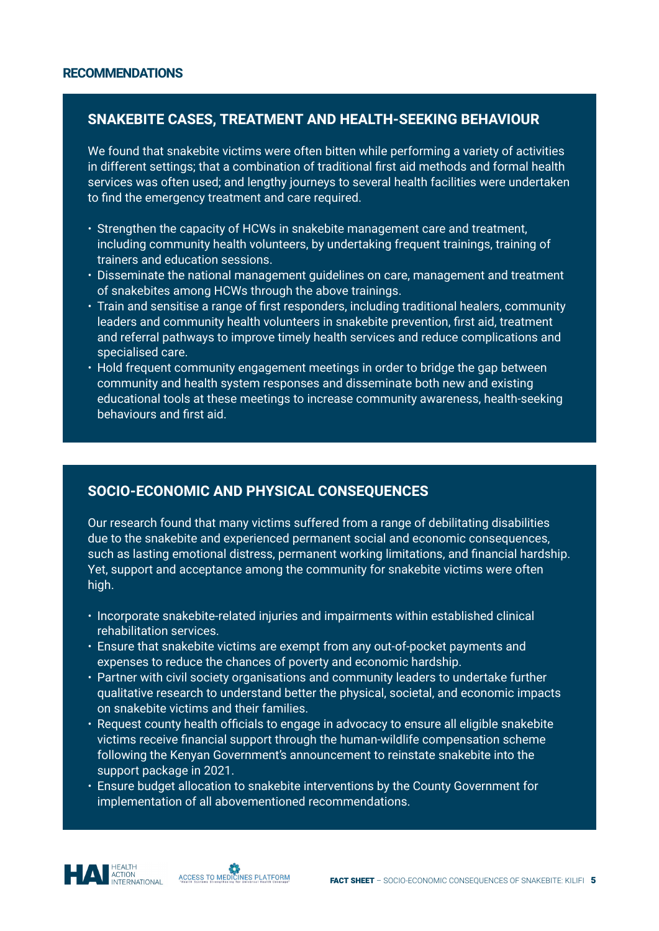# **SNAKEBITE CASES, TREATMENT AND HEALTH-SEEKING BEHAVIOUR**

We found that snakebite victims were often bitten while performing a variety of activities in different settings; that a combination of traditional first aid methods and formal health services was often used; and lengthy journeys to several health facilities were undertaken to find the emergency treatment and care required.

- Strengthen the capacity of HCWs in snakebite management care and treatment, including community health volunteers, by undertaking frequent trainings, training of trainers and education sessions.
- Disseminate the national management guidelines on care, management and treatment of snakebites among HCWs through the above trainings.
- Train and sensitise a range of first responders, including traditional healers, community leaders and community health volunteers in snakebite prevention, first aid, treatment and referral pathways to improve timely health services and reduce complications and specialised care.
- Hold frequent community engagement meetings in order to bridge the gap between community and health system responses and disseminate both new and existing educational tools at these meetings to increase community awareness, health-seeking behaviours and first aid.

# **SOCIO-ECONOMIC AND PHYSICAL CONSEQUENCES**

Our research found that many victims suffered from a range of debilitating disabilities due to the snakebite and experienced permanent social and economic consequences, such as lasting emotional distress, permanent working limitations, and financial hardship. Yet, support and acceptance among the community for snakebite victims were often high.

- Incorporate snakebite-related injuries and impairments within established clinical rehabilitation services.
- Ensure that snakebite victims are exempt from any out-of-pocket payments and expenses to reduce the chances of poverty and economic hardship.
- Partner with civil society organisations and community leaders to undertake further qualitative research to understand better the physical, societal, and economic impacts on snakebite victims and their families.
- Request county health officials to engage in advocacy to ensure all eligible snakebite victims receive financial support through the human-wildlife compensation scheme following the Kenyan Government's announcement to reinstate snakebite into the support package in 2021.
- Ensure budget allocation to snakebite interventions by the County Government for implementation of all abovementioned recommendations.